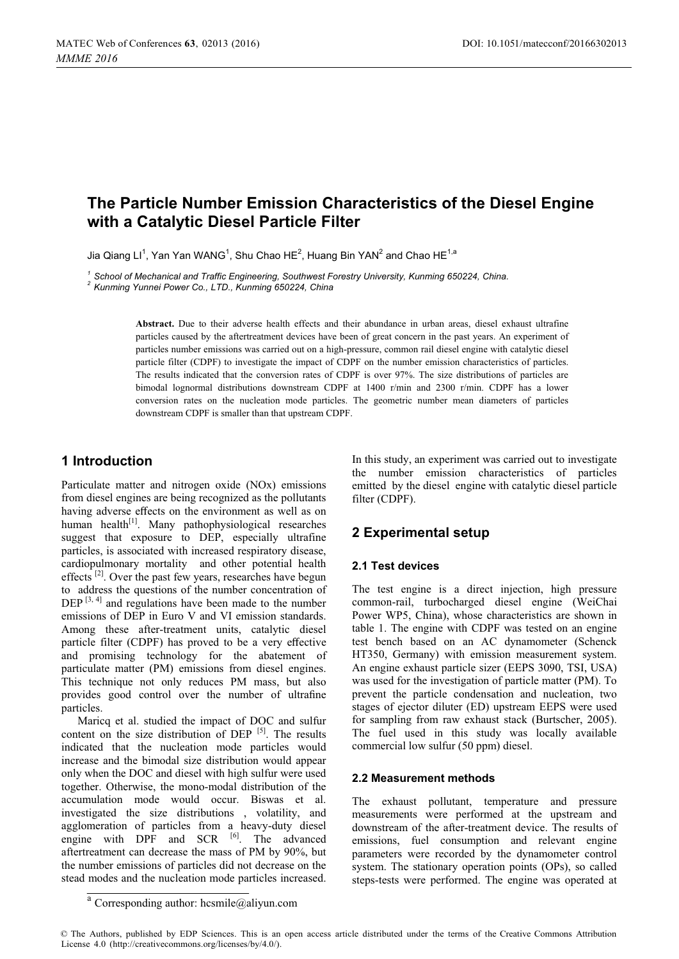# **The Particle Number Emission Characteristics of the Diesel Engine with a Catalytic Diesel Particle Filter**

Jia Qiang Ll<sup>1</sup>, Yan Yan WANG<sup>1</sup>, Shu Chao HE<sup>2</sup>, Huang Bin YAN<sup>2</sup> and Chao HE<sup>1,a</sup>

*<sup>1</sup> School of Mechanical and Traffic Engineering, Southwest Forestry University, Kunming 650224, China. 2 Kunming Yunnei Power Co., LTD., Kunming 650224, China* 

**Abstract.** Due to their adverse health effects and their abundance in urban areas, diesel exhaust ultrafine particles caused by the aftertreatment devices have been of great concern in the past years. An experiment of particles number emissions was carried out on a high-pressure, common rail diesel engine with catalytic diesel particle filter (CDPF) to investigate the impact of CDPF on the number emission characteristics of particles. The results indicated that the conversion rates of CDPF is over 97%. The size distributions of particles are bimodal lognormal distributions downstream CDPF at 1400 r/min and 2300 r/min. CDPF has a lower conversion rates on the nucleation mode particles. The geometric number mean diameters of particles downstream CDPF is smaller than that upstream CDPF.

## **1 Introduction**

Particulate matter and nitrogen oxide (NOx) emissions from diesel engines are being recognized as the pollutants having adverse effects on the environment as well as on human health<sup>[1]</sup>. Many pathophysiological researches suggest that exposure to DEP, especially ultrafine particles, is associated with increased respiratory disease, cardiopulmonary mortality and other potential health effects<sup>[2]</sup>. Over the past few years, researches have begun to address the questions of the number concentration of  $DEP^{[3, 4]}$  and regulations have been made to the number emissions of DEP in Euro V and VI emission standards. Among these after-treatment units, catalytic diesel particle filter (CDPF) has proved to be a very effective and promising technology for the abatement of particulate matter (PM) emissions from diesel engines. This technique not only reduces PM mass, but also provides good control over the number of ultrafine particles.

Maricq et al. studied the impact of DOC and sulfur content on the size distribution of DEP  $[5]$ . The results indicated that the nucleation mode particles would increase and the bimodal size distribution would appear only when the DOC and diesel with high sulfur were used together. Otherwise, the mono-modal distribution of the accumulation mode would occur. Biswas et al. investigated the size distributions , volatility, and agglomeration of particles from a heavy-duty diesel engine with DPF and SCR <sup>[6]</sup>. The advanced aftertreatment can decrease the mass of PM by 90%, but the number emissions of particles did not decrease on the stead modes and the nucleation mode particles increased.

In this study, an experiment was carried out to investigate the number emission characteristics of particles emitted by the diesel engine with catalytic diesel particle filter (CDPF).

## **2 Experimental setup**

#### **2.1 Test devices**

The test engine is a direct injection, high pressure common-rail, turbocharged diesel engine (WeiChai Power WP5, China), whose characteristics are shown in table 1. The engine with CDPF was tested on an engine test bench based on an AC dynamometer (Schenck HT350, Germany) with emission measurement system. An engine exhaust particle sizer (EEPS 3090, TSI, USA) was used for the investigation of particle matter (PM). To prevent the particle condensation and nucleation, two stages of ejector diluter (ED) upstream EEPS were used for sampling from raw exhaust stack (Burtscher, 2005). The fuel used in this study was locally available commercial low sulfur (50 ppm) diesel.

#### **2.2 Measurement methods**

The exhaust pollutant, temperature and pressure measurements were performed at the upstream and downstream of the after-treatment device. The results of emissions, fuel consumption and relevant engine parameters were recorded by the dynamometer control system. The stationary operation points (OPs), so called steps-tests were performed. The engine was operated at

<sup>&</sup>lt;sup>a</sup> Corresponding author: [hcsmile@aliyun.com](mailto:hcsmile@aliyun.com)

<sup>©</sup> The Authors, published by EDP Sciences. This is an open access article distributed under the terms of the Creative Commons Attribution License 4.0 ([http://creativecommons.org/licenses/by/4.0/\).](http://creativecommons.org/licenses/by/4.0/)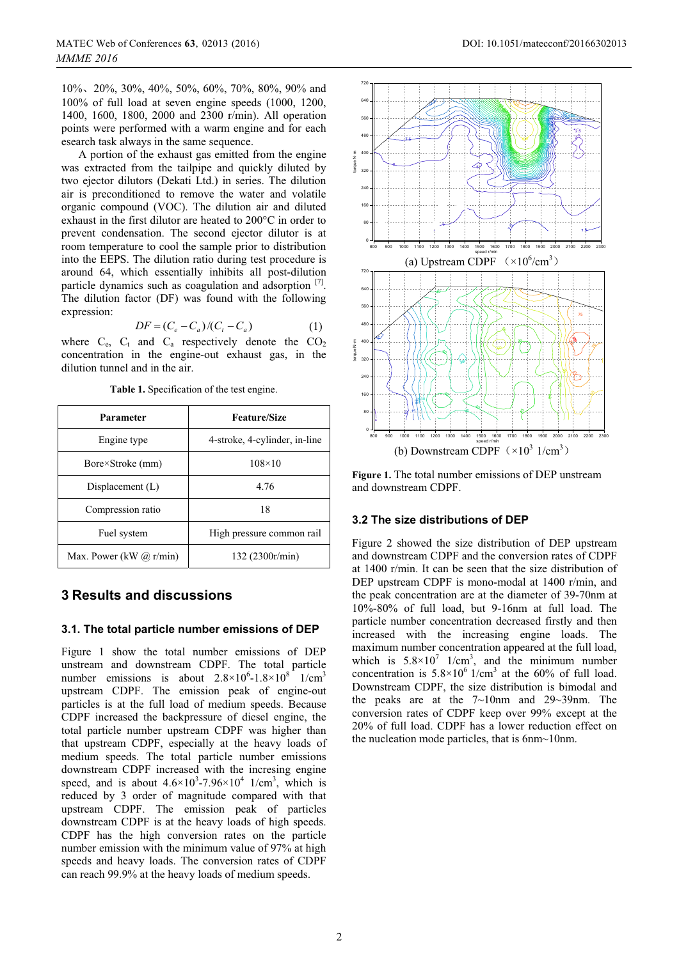10%, 20%, 30%, 40%, 50%, 60%, 70%, 80%, 90% and 100% of full load at seven engine speeds (1000, 1200, 1400, 1600, 1800, 2000 and 2300 r/min). All operation points were performed with a warm engine and for each esearch task always in the same sequence.

A portion of the exhaust gas emitted from the engine was extracted from the tailpipe and quickly diluted by two ejector dilutors (Dekati Ltd.) in series. The dilution air is preconditioned to remove the water and volatile organic compound (VOC). The dilution air and diluted exhaust in the first dilutor are heated to 200°C in order to prevent condensation. The second ejector dilutor is at room temperature to cool the sample prior to distribution into the EEPS. The dilution ratio during test procedure is around 64, which essentially inhibits all post-dilution particle dynamics such as coagulation and adsorption [7]. The dilution factor (DF) was found with the following expression:

$$
DF = (C_e - C_a)/(C_t - C_a)
$$
 (1)

where  $C_e$ ,  $C_t$  and  $C_a$  respectively denote the  $CO_2$ concentration in the engine-out exhaust gas, in the dilution tunnel and in the air.

| Parameter                 | <b>Feature/Size</b>           |  |  |
|---------------------------|-------------------------------|--|--|
| Engine type               | 4-stroke, 4-cylinder, in-line |  |  |
| Bore×Stroke (mm)          | $108\times10$                 |  |  |
| Displacement $(L)$        | 4.76                          |  |  |
| Compression ratio         | 18                            |  |  |
| Fuel system               | High pressure common rail     |  |  |
| Max. Power (kW $@$ r/min) | 132 (2300r/min)               |  |  |

**Table 1.** Specification of the test engine.

## **3 Results and discussions**

#### **3.1. The total particle number emissions of DEP**

Figure 1 show the total number emissions of DEP unstream and downstream CDPF. The total particle number emissions is about  $2.8 \times 10^6$ -1.8 $\times 10^8$  1/cm<sup>3</sup> upstream CDPF. The emission peak of engine-out particles is at the full load of medium speeds. Because CDPF increased the backpressure of diesel engine, the total particle number upstream CDPF was higher than that upstream CDPF, especially at the heavy loads of medium speeds. The total particle number emissions downstream CDPF increased with the incresing engine speed, and is about  $4.6 \times 10^3 - 7.96 \times 10^4$  1/cm<sup>3</sup>, which is reduced by 3 order of magnitude compared with that upstream CDPF. The emission peak of particles downstream CDPF is at the heavy loads of high speeds. CDPF has the high conversion rates on the particle number emission with the minimum value of 97% at high speeds and heavy loads. The conversion rates of CDPF can reach 99.9% at the heavy loads of medium speeds.



**Figure 1.** The total number emissions of DEP unstream and downstream CDPF.

### **3.2 The size distributions of DEP**

Figure 2 showed the size distribution of DEP upstream and downstream CDPF and the conversion rates of CDPF at 1400 r/min. It can be seen that the size distribution of DEP upstream CDPF is mono-modal at 1400 r/min, and the peak concentration are at the diameter of 39-70nm at 10%-80% of full load, but 9-16nm at full load. The particle number concentration decreased firstly and then increased with the increasing engine loads. The maximum number concentration appeared at the full load, which is  $5.8 \times 10^7$  1/cm<sup>3</sup>, and the minimum number concentration is  $5.8 \times 10^6$  1/cm<sup>3</sup> at the 60% of full load. Downstream CDPF, the size distribution is bimodal and the peaks are at the  $7{\sim}10$ nm and  $29{\sim}39$ nm. The conversion rates of CDPF keep over 99% except at the 20% of full load. CDPF has a lower reduction effect on the nucleation mode particles, that is 6nm~10nm.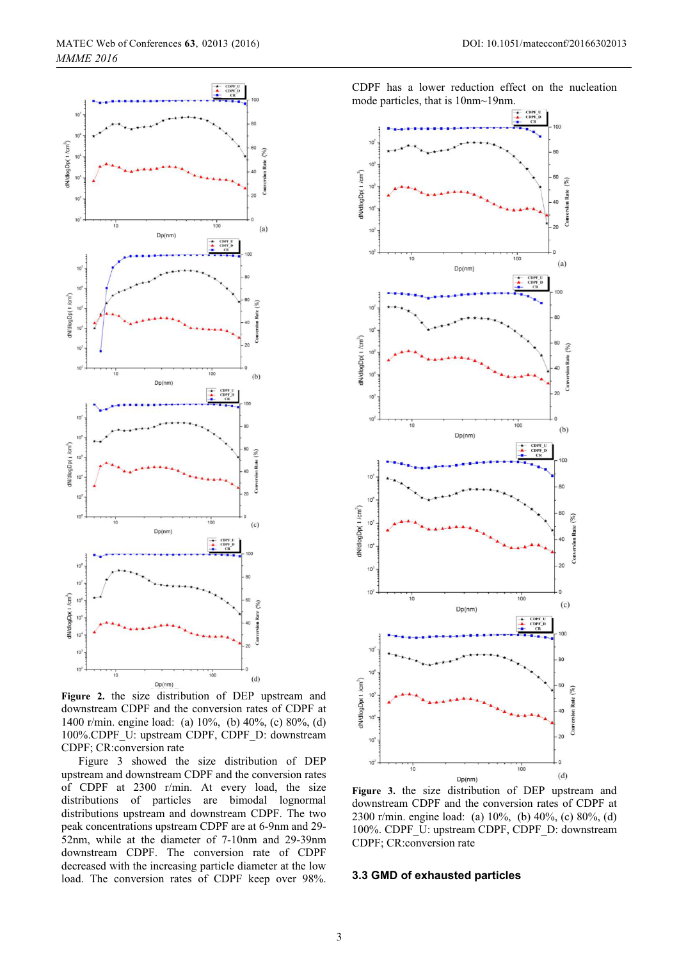



**Figure 2.** the size distribution of DEP upstream and downstream CDPF and the conversion rates of CDPF at 1400 r/min. engine load: (a) 10%, (b) 40%, (c) 80%, (d) 100%.CDPF\_U: upstream CDPF, CDPF\_D: downstream CDPF; CR:conversion rate

Figure 3 showed the size distribution of DEP upstream and downstream CDPF and the conversion rates of CDPF at 2300 r/min. At every load, the size distributions of particles are bimodal lognormal distributions upstream and downstream CDPF. The two peak concentrations upstream CDPF are at 6-9nm and 29- 52nm, while at the diameter of 7-10nm and 29-39nm downstream CDPF. The conversion rate of CDPF decreased with the increasing particle diameter at the low load. The conversion rates of CDPF keep over 98%.



**Figure 3.** the size distribution of DEP upstream and downstream CDPF and the conversion rates of CDPF at 2300 r/min. engine load: (a) 10%, (b) 40%, (c) 80%, (d) 100%. CDPF\_U: upstream CDPF, CDPF\_D: downstream CDPF; CR:conversion rate

#### **3.3 GMD of exhausted particles**